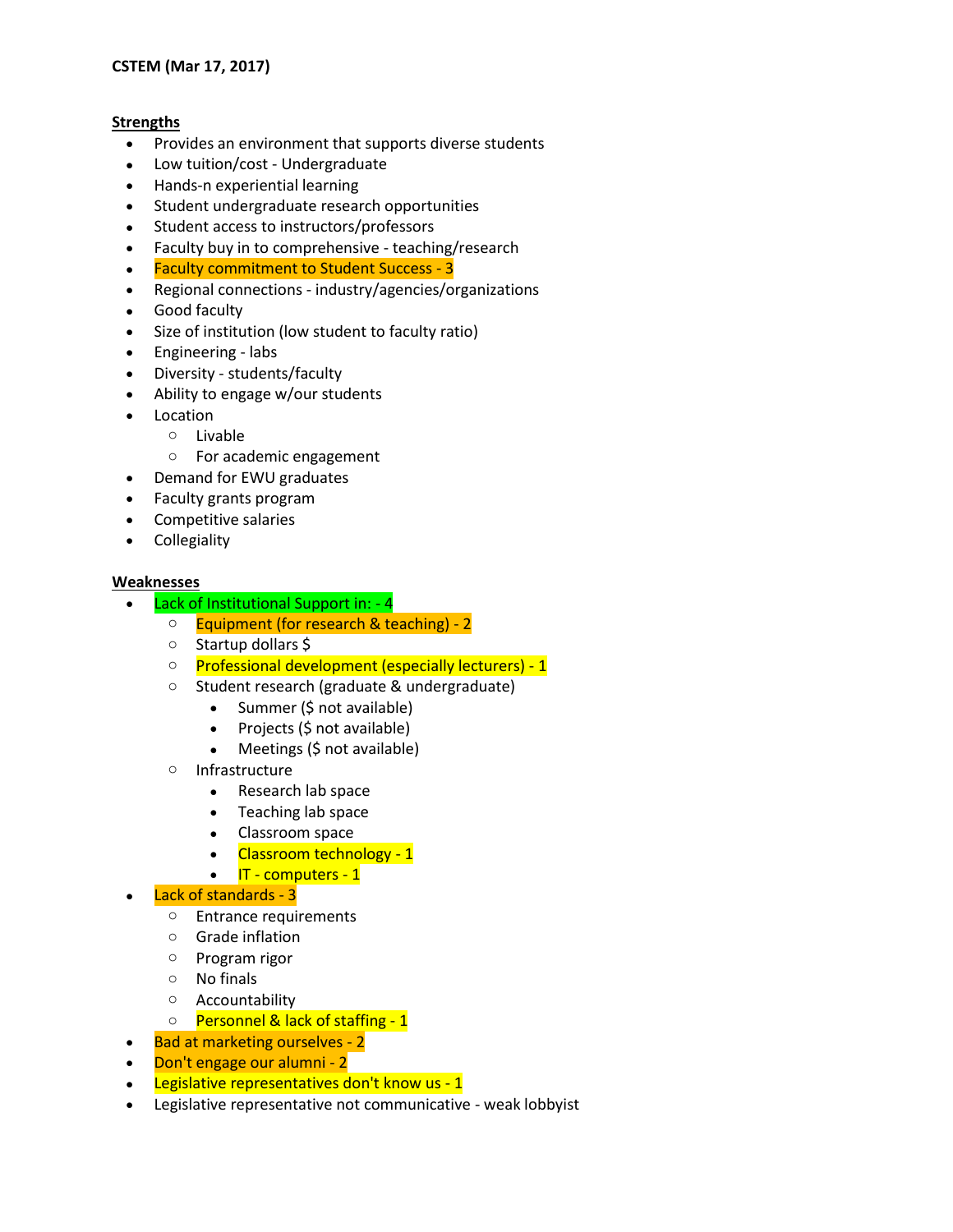#### **Strengths**

- Provides an environment that supports diverse students
- Low tuition/cost Undergraduate
- Hands-n experiential learning
- Student undergraduate research opportunities
- Student access to instructors/professors
- Faculty buy in to comprehensive teaching/research
- Faculty commitment to Student Success 3
- Regional connections industry/agencies/organizations
- Good faculty
- Size of institution (low student to faculty ratio)
- Engineering labs
- Diversity students/faculty
- Ability to engage w/our students
- Location
	- o Livable
		- o For academic engagement
- Demand for EWU graduates
- Faculty grants program
- Competitive salaries
- Collegiality

#### **Weaknesses**

- Lack of Institutional Support in: 4
	- o Equipment (for research & teaching) 2
	- o Startup dollars \$
	- o Professional development (especially lecturers) 1
	- o Student research (graduate & undergraduate)
		- Summer (\$ not available)
		- $\bullet$  Projects (\$ not available)
		- Meetings (\$ not available)
	- o Infrastructure
		- Research lab space
		- Teaching lab space
		- Classroom space
		- Classroom technology 1
		- $\cdot$  IT computers 1

# Lack of standards - 3

- o Entrance requirements
- o Grade inflation
- o Program rigor
- o No finals
- o Accountability
- o Personnel & lack of staffing 1
- Bad at marketing ourselves 2
- Don't engage our alumni 2
- Legislative representatives don't know us 1
- Legislative representative not communicative weak lobbyist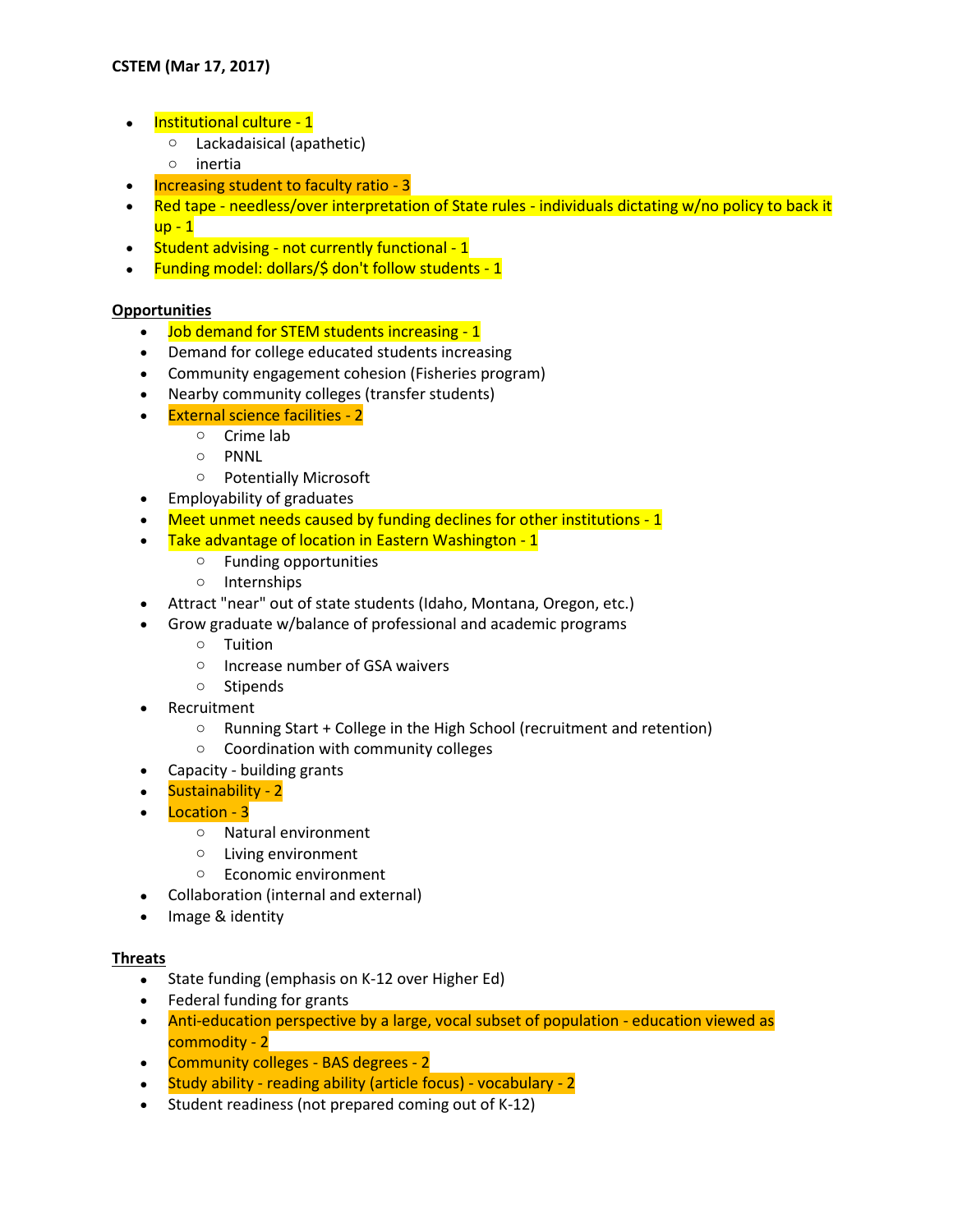- Institutional culture 1
	- o Lackadaisical (apathetic)
	- o inertia
- Increasing student to faculty ratio 3
- Red tape needless/over interpretation of State rules individuals dictating w/no policy to back it up - 1
- Student advising not currently functional 1
- Funding model: dollars/\$ don't follow students 1

# **Opportunities**

- Job demand for STEM students increasing 1
- Demand for college educated students increasing
- Community engagement cohesion (Fisheries program)
- Nearby community colleges (transfer students)
- External science facilities 2
	- o Crime lab
	- o PNNL
	- o Potentially Microsoft
- Employability of graduates
- Meet unmet needs caused by funding declines for other institutions 1
- Take advantage of location in Eastern Washington 1
	- o Funding opportunities
	- o Internships
- Attract "near" out of state students (Idaho, Montana, Oregon, etc.)
- Grow graduate w/balance of professional and academic programs
	- o Tuition
	- o Increase number of GSA waivers
	- o Stipends
- Recruitment
	- o Running Start + College in the High School (recruitment and retention)
	- o Coordination with community colleges
- Capacity building grants
- Sustainability 2
- Location 3
	- o Natural environment
	- o Living environment
	- o Economic environment
- Collaboration (internal and external)
- Image & identity

# **Threats**

- State funding (emphasis on K-12 over Higher Ed)
- Federal funding for grants
- Anti-education perspective by a large, vocal subset of population education viewed as commodity - 2
- Community colleges BAS degrees 2
- Study ability reading ability (article focus) vocabulary 2
- Student readiness (not prepared coming out of K-12)